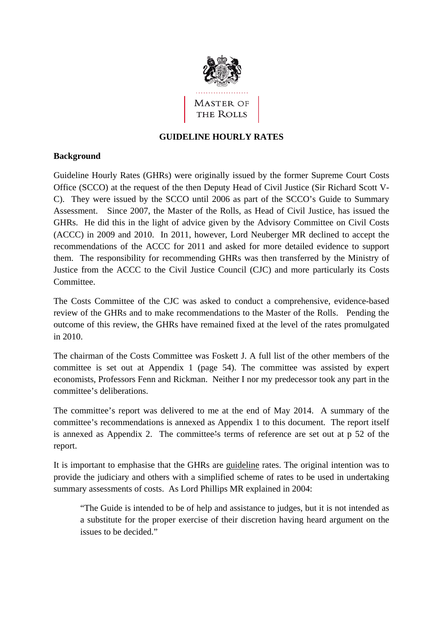

# **GUIDELINE HOURLY RATES**

## **Background**

Guideline Hourly Rates (GHRs) were originally issued by the former Supreme Court Costs Office (SCCO) at the request of the then Deputy Head of Civil Justice (Sir Richard Scott V-C). They were issued by the SCCO until 2006 as part of the SCCO's Guide to Summary Assessment. Since 2007, the Master of the Rolls, as Head of Civil Justice, has issued the GHRs. He did this in the light of advice given by the Advisory Committee on Civil Costs (ACCC) in 2009 and 2010. In 2011, however, Lord Neuberger MR declined to accept the recommendations of the ACCC for 2011 and asked for more detailed evidence to support them. The responsibility for recommending GHRs was then transferred by the Ministry of Justice from the ACCC to the Civil Justice Council (CJC) and more particularly its Costs Committee.

The Costs Committee of the CJC was asked to conduct a comprehensive, evidence-based review of the GHRs and to make recommendations to the Master of the Rolls. Pending the outcome of this review, the GHRs have remained fixed at the level of the rates promulgated in 2010.

The chairman of the Costs Committee was Foskett J. A full list of the other members of the committee is set out at Appendix 1 (page 54). The committee was assisted by expert economists, Professors Fenn and Rickman. Neither I nor my predecessor took any part in the committee's deliberations.

The committee's report was delivered to me at the end of May 2014. A summary of the committee's recommendations is annexed as Appendix 1 to this document. The report itself is annexed as Appendix 2. The committee's terms of reference are set out at p 52 of the report.

It is important to emphasise that the GHRs are guideline rates. The original intention was to provide the judiciary and others with a simplified scheme of rates to be used in undertaking summary assessments of costs. As Lord Phillips MR explained in 2004:

"The Guide is intended to be of help and assistance to judges, but it is not intended as a substitute for the proper exercise of their discretion having heard argument on the issues to be decided."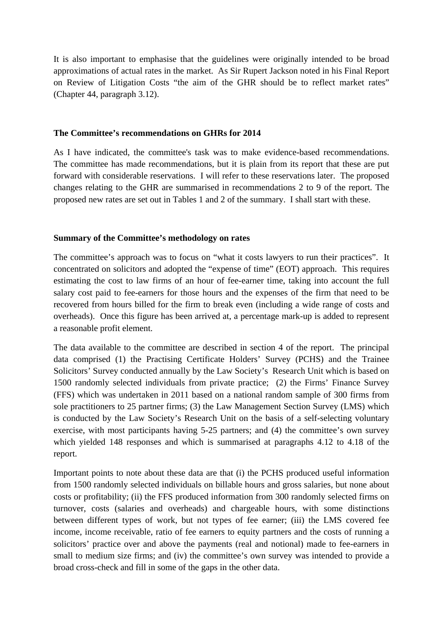It is also important to emphasise that the guidelines were originally intended to be broad approximations of actual rates in the market. As Sir Rupert Jackson noted in his Final Report on Review of Litigation Costs "the aim of the GHR should be to reflect market rates" (Chapter 44, paragraph 3.12).

#### **The Committee's recommendations on GHRs for 2014**

As I have indicated, the committee's task was to make evidence-based recommendations. The committee has made recommendations, but it is plain from its report that these are put forward with considerable reservations. I will refer to these reservations later. The proposed changes relating to the GHR are summarised in recommendations 2 to 9 of the report. The proposed new rates are set out in Tables 1 and 2 of the summary. I shall start with these.

#### **Summary of the Committee's methodology on rates**

The committee's approach was to focus on "what it costs lawyers to run their practices". It concentrated on solicitors and adopted the "expense of time" (EOT) approach. This requires estimating the cost to law firms of an hour of fee-earner time, taking into account the full salary cost paid to fee-earners for those hours and the expenses of the firm that need to be recovered from hours billed for the firm to break even (including a wide range of costs and overheads). Once this figure has been arrived at, a percentage mark-up is added to represent a reasonable profit element.

The data available to the committee are described in section 4 of the report. The principal data comprised (1) the Practising Certificate Holders' Survey (PCHS) and the Trainee Solicitors' Survey conducted annually by the Law Society's Research Unit which is based on 1500 randomly selected individuals from private practice; (2) the Firms' Finance Survey (FFS) which was undertaken in 2011 based on a national random sample of 300 firms from sole practitioners to 25 partner firms; (3) the Law Management Section Survey (LMS) which is conducted by the Law Society's Research Unit on the basis of a self-selecting voluntary exercise, with most participants having 5-25 partners; and (4) the committee's own survey which yielded 148 responses and which is summarised at paragraphs 4.12 to 4.18 of the report.

Important points to note about these data are that (i) the PCHS produced useful information from 1500 randomly selected individuals on billable hours and gross salaries, but none about costs or profitability; (ii) the FFS produced information from 300 randomly selected firms on turnover, costs (salaries and overheads) and chargeable hours, with some distinctions between different types of work, but not types of fee earner; (iii) the LMS covered fee income, income receivable, ratio of fee earners to equity partners and the costs of running a solicitors' practice over and above the payments (real and notional) made to fee-earners in small to medium size firms; and (iv) the committee's own survey was intended to provide a broad cross-check and fill in some of the gaps in the other data.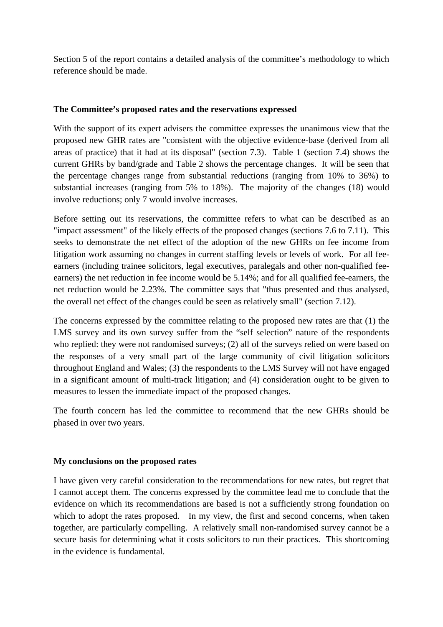Section 5 of the report contains a detailed analysis of the committee's methodology to which reference should be made.

#### **The Committee's proposed rates and the reservations expressed**

With the support of its expert advisers the committee expresses the unanimous view that the proposed new GHR rates are "consistent with the objective evidence-base (derived from all areas of practice) that it had at its disposal" (section 7.3). Table 1 (section 7.4) shows the current GHRs by band/grade and Table 2 shows the percentage changes. It will be seen that the percentage changes range from substantial reductions (ranging from 10% to 36%) to substantial increases (ranging from 5% to 18%). The majority of the changes (18) would involve reductions; only 7 would involve increases.

Before setting out its reservations, the committee refers to what can be described as an "impact assessment" of the likely effects of the proposed changes (sections 7.6 to 7.11). This seeks to demonstrate the net effect of the adoption of the new GHRs on fee income from litigation work assuming no changes in current staffing levels or levels of work. For all feeearners (including trainee solicitors, legal executives, paralegals and other non-qualified feeearners) the net reduction in fee income would be 5.14%; and for all qualified fee-earners, the net reduction would be 2.23%. The committee says that "thus presented and thus analysed, the overall net effect of the changes could be seen as relatively small" (section 7.12).

The concerns expressed by the committee relating to the proposed new rates are that (1) the LMS survey and its own survey suffer from the "self selection" nature of the respondents who replied: they were not randomised surveys; (2) all of the surveys relied on were based on the responses of a very small part of the large community of civil litigation solicitors throughout England and Wales; (3) the respondents to the LMS Survey will not have engaged in a significant amount of multi-track litigation; and (4) consideration ought to be given to measures to lessen the immediate impact of the proposed changes.

The fourth concern has led the committee to recommend that the new GHRs should be phased in over two years.

## **My conclusions on the proposed rates**

I have given very careful consideration to the recommendations for new rates, but regret that I cannot accept them. The concerns expressed by the committee lead me to conclude that the evidence on which its recommendations are based is not a sufficiently strong foundation on which to adopt the rates proposed. In my view, the first and second concerns, when taken together, are particularly compelling. A relatively small non-randomised survey cannot be a secure basis for determining what it costs solicitors to run their practices. This shortcoming in the evidence is fundamental.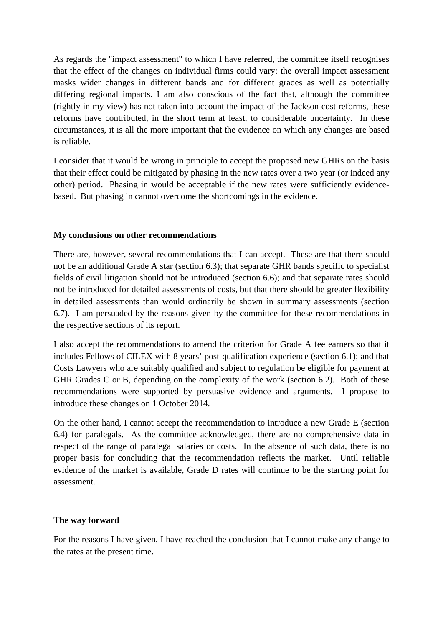As regards the "impact assessment" to which I have referred, the committee itself recognises that the effect of the changes on individual firms could vary: the overall impact assessment masks wider changes in different bands and for different grades as well as potentially differing regional impacts. I am also conscious of the fact that, although the committee (rightly in my view) has not taken into account the impact of the Jackson cost reforms, these reforms have contributed, in the short term at least, to considerable uncertainty. In these circumstances, it is all the more important that the evidence on which any changes are based is reliable.

I consider that it would be wrong in principle to accept the proposed new GHRs on the basis that their effect could be mitigated by phasing in the new rates over a two year (or indeed any other) period. Phasing in would be acceptable if the new rates were sufficiently evidencebased. But phasing in cannot overcome the shortcomings in the evidence.

#### **My conclusions on other recommendations**

There are, however, several recommendations that I can accept. These are that there should not be an additional Grade A star (section 6.3); that separate GHR bands specific to specialist fields of civil litigation should not be introduced (section 6.6); and that separate rates should not be introduced for detailed assessments of costs, but that there should be greater flexibility in detailed assessments than would ordinarily be shown in summary assessments (section 6.7). I am persuaded by the reasons given by the committee for these recommendations in the respective sections of its report.

I also accept the recommendations to amend the criterion for Grade A fee earners so that it includes Fellows of CILEX with 8 years' post-qualification experience (section 6.1); and that Costs Lawyers who are suitably qualified and subject to regulation be eligible for payment at GHR Grades C or B, depending on the complexity of the work (section 6.2). Both of these recommendations were supported by persuasive evidence and arguments. I propose to introduce these changes on 1 October 2014.

On the other hand, I cannot accept the recommendation to introduce a new Grade E (section 6.4) for paralegals. As the committee acknowledged, there are no comprehensive data in respect of the range of paralegal salaries or costs. In the absence of such data, there is no proper basis for concluding that the recommendation reflects the market. Until reliable evidence of the market is available, Grade D rates will continue to be the starting point for assessment.

## **The way forward**

For the reasons I have given, I have reached the conclusion that I cannot make any change to the rates at the present time.